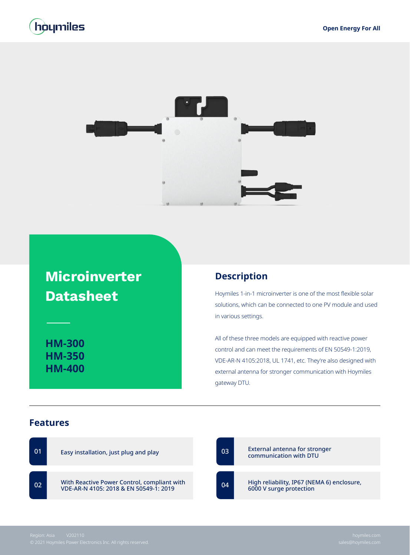



## **Microinverter Datasheet**

**HM-300 HM-350 HM-400**

## **Description**

Hoymiles 1-in-1 microinverter is one of the most flexible solar solutions, which can be connected to one PV module and used in various settings.

All of these three models are equipped with reactive power control and can meet the requirements of EN 50549-1:2019, VDE-AR-N 4105:2018, UL 1741, etc. They're also designed with external antenna for stronger communication with Hoymiles gateway DTU.

## **Features**